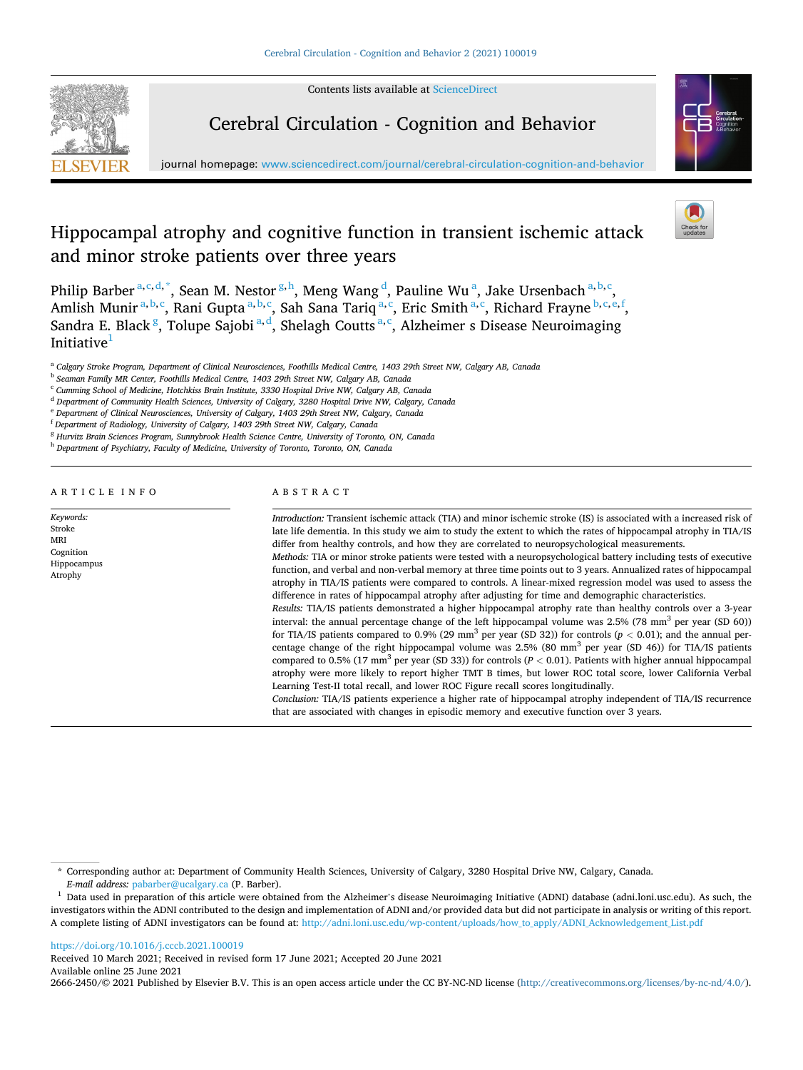Contents lists available at [ScienceDirect](www.sciencedirect.com/science/journal/26662450)



Cerebral Circulation - Cognition and Behavior



# Hippocampal atrophy and cognitive function in transient ischemic attack and minor stroke patients over three years



Philip Barber <sup>a, c, d, \*</sup>, Sean M. Nestor <sup>g, h</sup>, Meng Wang <sup>d</sup>, Pauline Wu <sup>a</sup>, Jake Ursenbach <sup>a, b, c</sup>, Amlish Munir<sup>a, b, c</sup>, Rani Gupta<sup>a, b, c</sup>, Sah Sana Tariq<sup>a, c</sup>, Eric Smith<sup>a, c</sup>, Richard Frayne <sup>b, c, e, f</sup>, Sandra E. Black <sup>g</sup>, Tolupe Sajobi <sup>a,d</sup>, Shelagh Coutts <sup>a,c</sup>, Alzheimer s Disease Neuroimaging Initiative $1$ 

<sup>a</sup> *Calgary Stroke Program, Department of Clinical Neurosciences, Foothills Medical Centre, 1403 29th Street NW, Calgary AB, Canada* 

<sup>c</sup> *Cumming School of Medicine, Hotchkiss Brain Institute, 3330 Hospital Drive NW, Calgary AB, Canada* 

<sup>d</sup> *Department of Community Health Sciences, University of Calgary, 3280 Hospital Drive NW, Calgary, Canada* 

<sup>e</sup> *Department of Clinical Neurosciences, University of Calgary, 1403 29th Street NW, Calgary, Canada* 

<sup>f</sup> *Department of Radiology, University of Calgary, 1403 29th Street NW, Calgary, Canada* 

<sup>g</sup> *Hurvitz Brain Sciences Program, Sunnybrook Health Science Centre, University of Toronto, ON, Canada* 

<sup>h</sup> *Department of Psychiatry, Faculty of Medicine, University of Toronto, Toronto, ON, Canada* 

# ARTICLE INFO

*Keywords:*  Stroke MRI Cognition Hippocampus Atrophy

# ABSTRACT

*Introduction:* Transient ischemic attack (TIA) and minor ischemic stroke (IS) is associated with a increased risk of late life dementia. In this study we aim to study the extent to which the rates of hippocampal atrophy in TIA/IS differ from healthy controls, and how they are correlated to neuropsychological measurements. *Methods:* TIA or minor stroke patients were tested with a neuropsychological battery including tests of executive function, and verbal and non-verbal memory at three time points out to 3 years. Annualized rates of hippocampal atrophy in TIA/IS patients were compared to controls. A linear-mixed regression model was used to assess the difference in rates of hippocampal atrophy after adjusting for time and demographic characteristics. *Results:* TIA/IS patients demonstrated a higher hippocampal atrophy rate than healthy controls over a 3-year interval: the annual percentage change of the left hippocampal volume was 2.5% (78 mm<sup>3</sup> per year (SD 60))

for TIA/IS patients compared to 0.9% (29 mm<sup>3</sup> per year (SD 32)) for controls ( $p < 0.01$ ); and the annual percentage change of the right hippocampal volume was 2.5% (80 mm<sup>3</sup> per year (SD 46)) for TIA/IS patients compared to 0.5% (17 mm<sup>3</sup> per year (SD 33)) for controls ( $P < 0.01$ ). Patients with higher annual hippocampal atrophy were more likely to report higher TMT B times, but lower ROC total score, lower California Verbal Learning Test-II total recall, and lower ROC Figure recall scores longitudinally.

*Conclusion:* TIA/IS patients experience a higher rate of hippocampal atrophy independent of TIA/IS recurrence that are associated with changes in episodic memory and executive function over 3 years.

# <https://doi.org/10.1016/j.cccb.2021.100019>

Available online 25 June 2021 Received 10 March 2021; Received in revised form 17 June 2021; Accepted 20 June 2021

2666-2450/© 2021 Published by Elsevier B.V. This is an open access article under the CC BY-NC-ND license [\(http://creativecommons.org/licenses/by-nc-nd/4.0/\)](http://creativecommons.org/licenses/by-nc-nd/4.0/).

<sup>b</sup> *Seaman Family MR Center, Foothills Medical Centre, 1403 29th Street NW, Calgary AB, Canada* 

<sup>\*</sup> Corresponding author at: Department of Community Health Sciences, University of Calgary, 3280 Hospital Drive NW, Calgary, Canada.

*E-mail address:* [pabarber@ucalgary.ca](mailto:pabarber@ucalgary.ca) (P. Barber). 1 Data used in preparation of this article were obtained from the Alzheimer's disease Neuroimaging Initiative (ADNI) database (adni.loni.usc.edu). As such, the investigators within the ADNI contributed to the design and implementation of ADNI and/or provided data but did not participate in analysis or writing of this report. A complete listing of ADNI investigators can be found at: [http://adni.loni.usc.edu/wp-content/uploads/how\\_to\\_apply/ADNI\\_Acknowledgement\\_List.pdf](http://adni.loni.usc.edu/wp-content/uploads/how_to_apply/ADNI_Acknowledgement_List.pdf)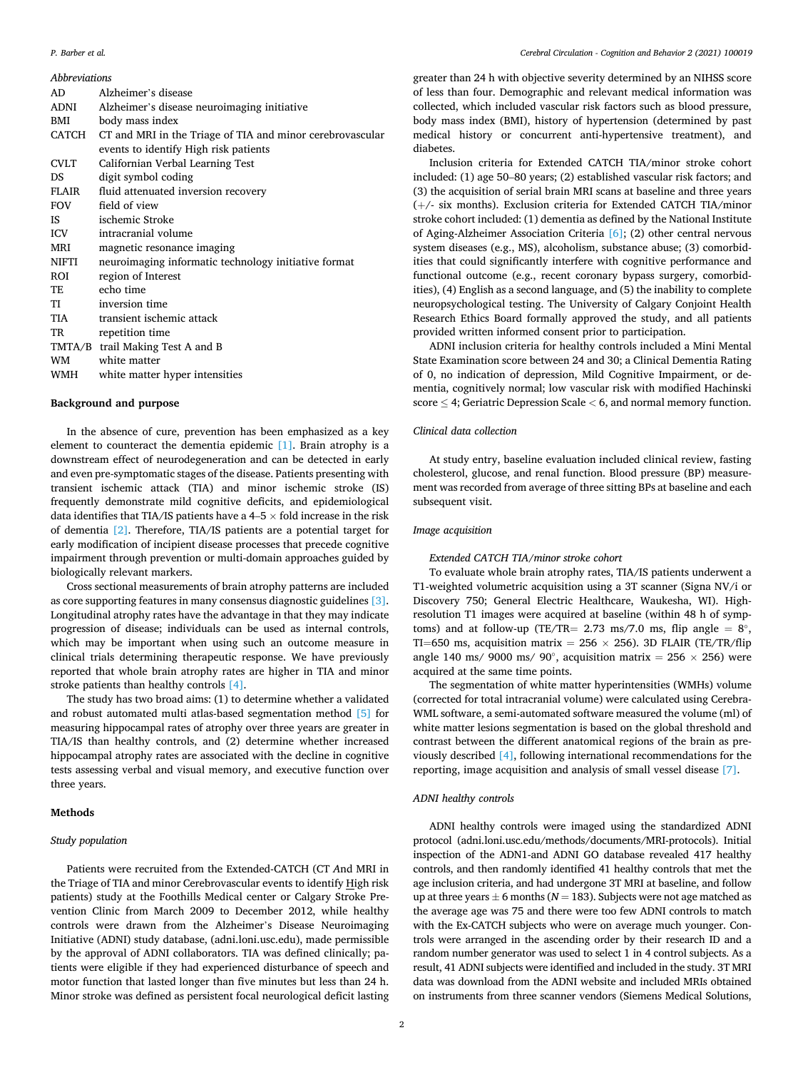# *P. Barber et al.*

*Abbreviations* 

| AD         | Alzheimer's disease                                                                                |
|------------|----------------------------------------------------------------------------------------------------|
| ADNI       | Alzheimer's disease neuroimaging initiative                                                        |
| BMI        | body mass index                                                                                    |
| CATCH      | CT and MRI in the Triage of TIA and minor cerebrovascular<br>events to identify High risk patients |
| CVLT       | Californian Verbal Learning Test                                                                   |
| <b>DS</b>  | digit symbol coding                                                                                |
| FLAIR      | fluid attenuated inversion recovery                                                                |
| <b>FOV</b> | field of view                                                                                      |
| IS.        | ischemic Stroke                                                                                    |
| <b>ICV</b> | intracranial volume                                                                                |
| <b>MRI</b> | magnetic resonance imaging                                                                         |
| NIFTI      | neuroimaging informatic technology initiative format                                               |
| ROI        | region of Interest                                                                                 |
| TE         | echo time                                                                                          |
| TI         | inversion time                                                                                     |
| TIA        | transient ischemic attack                                                                          |
| TR         | repetition time                                                                                    |
|            | TMTA/B trail Making Test A and B                                                                   |
| <b>WM</b>  | white matter                                                                                       |
| WMH        | white matter hyper intensities                                                                     |

# **Background and purpose**

In the absence of cure, prevention has been emphasized as a key element to counteract the dementia epidemic [\[1\]](#page-4-0). Brain atrophy is a downstream effect of neurodegeneration and can be detected in early and even pre-symptomatic stages of the disease. Patients presenting with transient ischemic attack (TIA) and minor ischemic stroke (IS) frequently demonstrate mild cognitive deficits, and epidemiological data identifies that TIA/IS patients have a 4–5  $\times$  fold increase in the risk of dementia [\[2\]](#page-5-0). Therefore, TIA/IS patients are a potential target for early modification of incipient disease processes that precede cognitive impairment through prevention or multi-domain approaches guided by biologically relevant markers.

Cross sectional measurements of brain atrophy patterns are included as core supporting features in many consensus diagnostic guidelines [\[3\]](#page-5-0). Longitudinal atrophy rates have the advantage in that they may indicate progression of disease; individuals can be used as internal controls, which may be important when using such an outcome measure in clinical trials determining therapeutic response. We have previously reported that whole brain atrophy rates are higher in TIA and minor stroke patients than healthy controls [\[4\].](#page-5-0)

The study has two broad aims: (1) to determine whether a validated and robust automated multi atlas-based segmentation method [\[5\]](#page-5-0) for measuring hippocampal rates of atrophy over three years are greater in TIA/IS than healthy controls, and (2) determine whether increased hippocampal atrophy rates are associated with the decline in cognitive tests assessing verbal and visual memory, and executive function over three years.

# **Methods**

# *Study population*

Patients were recruited from the Extended-CATCH (CT *A*nd MRI in the Triage of TIA and minor Cerebrovascular events to identify High risk patients) study at the Foothills Medical center or Calgary Stroke Prevention Clinic from March 2009 to December 2012, while healthy controls were drawn from the Alzheimer's Disease Neuroimaging Initiative (ADNI) study database, (adni.loni.usc.edu), made permissible by the approval of ADNI collaborators. TIA was defined clinically; patients were eligible if they had experienced disturbance of speech and motor function that lasted longer than five minutes but less than 24 h. Minor stroke was defined as persistent focal neurological deficit lasting greater than 24 h with objective severity determined by an NIHSS score of less than four. Demographic and relevant medical information was collected, which included vascular risk factors such as blood pressure, body mass index (BMI), history of hypertension (determined by past medical history or concurrent anti-hypertensive treatment), and diabetes.

Inclusion criteria for Extended CATCH TIA/minor stroke cohort included: (1) age 50–80 years; (2) established vascular risk factors; and (3) the acquisition of serial brain MRI scans at baseline and three years (+/- six months). Exclusion criteria for Extended CATCH TIA/minor stroke cohort included: (1) dementia as defined by the National Institute of Aging-Alzheimer Association Criteria [\[6\];](#page-5-0) (2) other central nervous system diseases (e.g., MS), alcoholism, substance abuse; (3) comorbidities that could significantly interfere with cognitive performance and functional outcome (e.g., recent coronary bypass surgery, comorbidities), (4) English as a second language, and (5) the inability to complete neuropsychological testing. The University of Calgary Conjoint Health Research Ethics Board formally approved the study, and all patients provided written informed consent prior to participation.

ADNI inclusion criteria for healthy controls included a Mini Mental State Examination score between 24 and 30; a Clinical Dementia Rating of 0, no indication of depression, Mild Cognitive Impairment, or dementia, cognitively normal; low vascular risk with modified Hachinski score ≤ 4; Geriatric Depression Scale *<* 6, and normal memory function.

# *Clinical data collection*

At study entry, baseline evaluation included clinical review, fasting cholesterol, glucose, and renal function. Blood pressure (BP) measurement was recorded from average of three sitting BPs at baseline and each subsequent visit.

# *Image acquisition*

#### *Extended CATCH TIA/minor stroke cohort*

To evaluate whole brain atrophy rates, TIA/IS patients underwent a T1-weighted volumetric acquisition using a 3T scanner (Signa NV/i or Discovery 750; General Electric Healthcare, Waukesha, WI). Highresolution T1 images were acquired at baseline (within 48 h of symptoms) and at follow-up (TE/TR= 2.73 ms/7.0 ms, flip angle =  $8^\circ$ , TI=650 ms, acquisition matrix = 256  $\times$  256). 3D FLAIR (TE/TR/flip angle 140 ms/ 9000 ms/ 90°, acquisition matrix = 256  $\times$  256) were acquired at the same time points.

The segmentation of white matter hyperintensities (WMHs) volume (corrected for total intracranial volume) were calculated using Cerebra-WML software, a semi-automated software measured the volume (ml) of white matter lesions segmentation is based on the global threshold and contrast between the different anatomical regions of the brain as previously described [\[4\]](#page-5-0), following international recommendations for the reporting, image acquisition and analysis of small vessel disease [\[7\].](#page-5-0)

# *ADNI healthy controls*

ADNI healthy controls were imaged using the standardized ADNI protocol (adni.loni.usc.edu/methods/documents/MRI-protocols). Initial inspection of the ADN1-and ADNI GO database revealed 417 healthy controls, and then randomly identified 41 healthy controls that met the age inclusion criteria, and had undergone 3T MRI at baseline, and follow up at three years  $\pm$  6 months ( $N = 183$ ). Subjects were not age matched as the average age was 75 and there were too few ADNI controls to match with the Ex-CATCH subjects who were on average much younger. Controls were arranged in the ascending order by their research ID and a random number generator was used to select 1 in 4 control subjects. As a result, 41 ADNI subjects were identified and included in the study. 3T MRI data was download from the ADNI website and included MRIs obtained on instruments from three scanner vendors (Siemens Medical Solutions,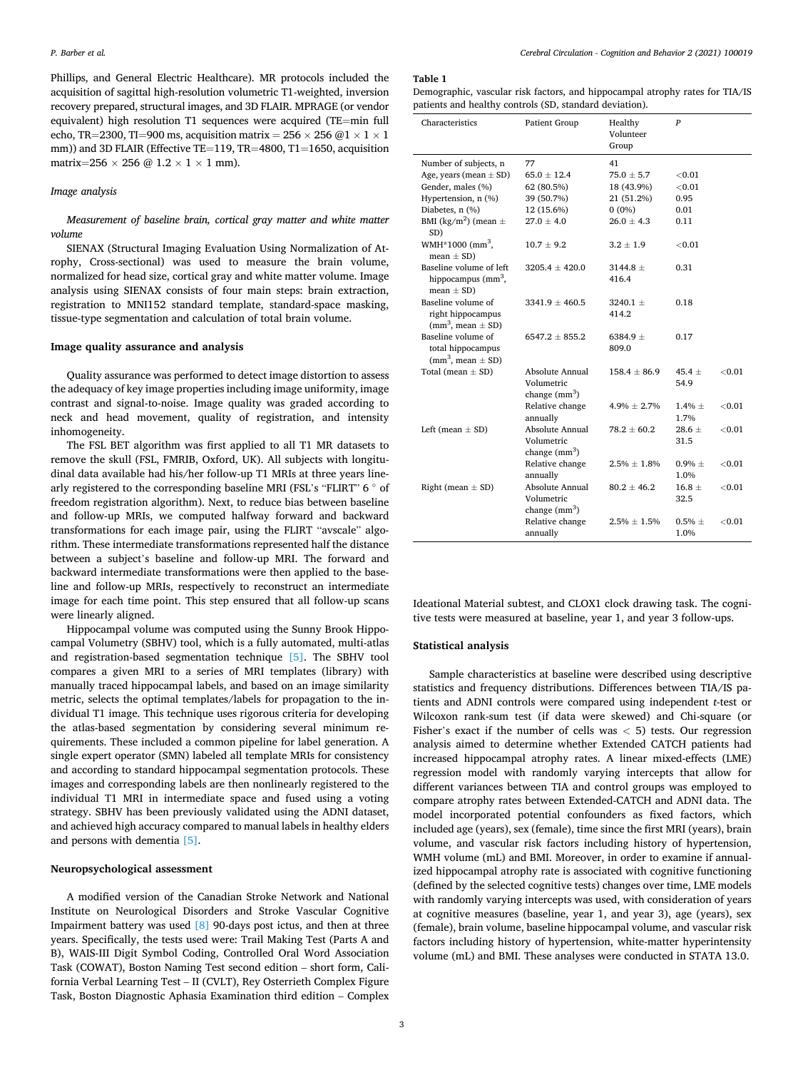<span id="page-2-0"></span>Phillips, and General Electric Healthcare). MR protocols included the acquisition of sagittal high-resolution volumetric T1-weighted, inversion recovery prepared, structural images, and 3D FLAIR. MPRAGE (or vendor equivalent) high resolution T1 sequences were acquired (TE=min full echo, TR=2300, TI=900 ms, acquisition matrix = 256  $\times$  256  $@1 \times 1 \times 1$ mm)) and 3D FLAIR (Effective TE=119, TR=4800, T1=1650, acquisition matrix=256  $\times$  256 @ 1.2  $\times$  1  $\times$  1 mm).

# *Image analysis*

*Measurement of baseline brain, cortical gray matter and white matter volume* 

SIENAX (Structural Imaging Evaluation Using Normalization of Atrophy, Cross-sectional) was used to measure the brain volume, normalized for head size, cortical gray and white matter volume. Image analysis using SIENAX consists of four main steps: brain extraction, registration to MNI152 standard template, standard-space masking, tissue-type segmentation and calculation of total brain volume.

# **Image quality assurance and analysis**

Quality assurance was performed to detect image distortion to assess the adequacy of key image properties including image uniformity, image contrast and signal-to-noise. Image quality was graded according to neck and head movement, quality of registration, and intensity inhomogeneity.

The FSL BET algorithm was first applied to all T1 MR datasets to remove the skull (FSL, FMRIB, Oxford, UK). All subjects with longitudinal data available had his/her follow-up T1 MRIs at three years linearly registered to the corresponding baseline MRI (FSL's "FLIRT" 6 ◦ of freedom registration algorithm). Next, to reduce bias between baseline and follow-up MRIs, we computed halfway forward and backward transformations for each image pair, using the FLIRT "avscale" algorithm. These intermediate transformations represented half the distance between a subject's baseline and follow-up MRI. The forward and backward intermediate transformations were then applied to the baseline and follow-up MRIs, respectively to reconstruct an intermediate image for each time point. This step ensured that all follow-up scans were linearly aligned.

Hippocampal volume was computed using the Sunny Brook Hippocampal Volumetry (SBHV) tool, which is a fully automated, multi-atlas and registration-based segmentation technique [\[5\]](#page-5-0). The SBHV tool compares a given MRI to a series of MRI templates (library) with manually traced hippocampal labels, and based on an image similarity metric, selects the optimal templates/labels for propagation to the individual T1 image. This technique uses rigorous criteria for developing the atlas-based segmentation by considering several minimum requirements. These included a common pipeline for label generation. A single expert operator (SMN) labeled all template MRIs for consistency and according to standard hippocampal segmentation protocols. These images and corresponding labels are then nonlinearly registered to the individual T1 MRI in intermediate space and fused using a voting strategy. SBHV has been previously validated using the ADNI dataset, and achieved high accuracy compared to manual labels in healthy elders and persons with dementia [\[5\].](#page-5-0)

#### **Neuropsychological assessment**

A modified version of the Canadian Stroke Network and National Institute on Neurological Disorders and Stroke Vascular Cognitive Impairment battery was used [\[8\]](#page-5-0) 90-days post ictus, and then at three years. Specifically, the tests used were: Trail Making Test (Parts A and B), WAIS-III Digit Symbol Coding, Controlled Oral Word Association Task (COWAT), Boston Naming Test second edition – short form, California Verbal Learning Test – II (CVLT), Rey Osterrieth Complex Figure Task, Boston Diagnostic Aphasia Examination third edition – Complex

#### **Table 1**

Demographic, vascular risk factors, and hippocampal atrophy rates for TIA/IS patients and healthy controls (SD, standard deviation).

| Characteristics                                                            | Patient Group                                   | Healthy<br>Volunteer<br>Group | $\boldsymbol{P}$    |           |
|----------------------------------------------------------------------------|-------------------------------------------------|-------------------------------|---------------------|-----------|
| Number of subjects, n                                                      | 77                                              | 41                            |                     |           |
| Age, years (mean $\pm$ SD)                                                 | $65.0 \pm 12.4$                                 | $75.0 \pm 5.7$                | < 0.01              |           |
| Gender, males (%)                                                          | 62 (80.5%)                                      | 18 (43.9%)                    | ${<}0.01$           |           |
| Hypertension, n (%)                                                        | 39 (50.7%)                                      | 21 (51.2%)                    | 0.95                |           |
| Diabetes, n (%)                                                            | 12 (15.6%)                                      | $0(0\%)$                      | 0.01                |           |
| BMI (kg/m <sup>2</sup> ) (mean $\pm$<br>SD)                                | $27.0 \pm 4.0$                                  | $26.0 \pm 4.3$                | 0.11                |           |
| WMH*1000 (mm <sup>3</sup> ,<br>mean $\pm$ SD)                              | $10.7 \pm 9.2$                                  | $3.2 \pm 1.9$                 | $<$ 0.01            |           |
| Baseline volume of left<br>hippocampus $(mm3,$<br>$mean \pm SD$ )          | $3205.4 \pm 420.0$                              | $3144.8 \pm$<br>416.4         | 0.31                |           |
| Baseline volume of<br>right hippocampus<br>$\text{(mm}^3$ , mean $\pm$ SD) | $3341.9 \pm 460.5$                              | $3240.1 \pm$<br>414.2         | 0.18                |           |
| Baseline volume of<br>total hippocampus<br>$(mm3, mean \pm SD)$            | $6547.2 \pm 855.2$                              | 6384.9 $\pm$<br>809.0         | 0.17                |           |
| Total (mean $\pm$ SD)                                                      | Absolute Annual<br>Volumetric<br>change $(mm3)$ | $158.4 \pm 86.9$              | 45.4 $\pm$<br>54.9  | < 0.01    |
|                                                                            | Relative change<br>annually                     | $4.9\% \pm 2.7\%$             | $1.4\% \pm$<br>1.7% | < 0.01    |
| Left (mean $\pm$ SD)                                                       | Absolute Annual<br>Volumetric<br>change $(mm3)$ | $78.2 \pm 60.2$               | $28.6 \pm$<br>31.5  | < 0.01    |
|                                                                            | Relative change<br>annually                     | $2.5\% \pm 1.8\%$             | $0.9\% \pm$<br>1.0% | < 0.01    |
| Right (mean $\pm$ SD)                                                      | Absolute Annual<br>Volumetric<br>change $(mm3)$ | $80.2 \pm 46.2$               | $16.8 \pm$<br>32.5  | < 0.01    |
|                                                                            | Relative change<br>annually                     | $2.5\% \pm 1.5\%$             | $0.5\% \pm$<br>1.0% | ${<}0.01$ |

Ideational Material subtest, and CLOX1 clock drawing task. The cognitive tests were measured at baseline, year 1, and year 3 follow-ups.

# **Statistical analysis**

Sample characteristics at baseline were described using descriptive statistics and frequency distributions. Differences between TIA/IS patients and ADNI controls were compared using independent *t*-test or Wilcoxon rank-sum test (if data were skewed) and Chi-square (or Fisher's exact if the number of cells was *<* 5) tests. Our regression analysis aimed to determine whether Extended CATCH patients had increased hippocampal atrophy rates. A linear mixed-effects (LME) regression model with randomly varying intercepts that allow for different variances between TIA and control groups was employed to compare atrophy rates between Extended-CATCH and ADNI data. The model incorporated potential confounders as fixed factors, which included age (years), sex (female), time since the first MRI (years), brain volume, and vascular risk factors including history of hypertension, WMH volume (mL) and BMI. Moreover, in order to examine if annualized hippocampal atrophy rate is associated with cognitive functioning (defined by the selected cognitive tests) changes over time, LME models with randomly varying intercepts was used, with consideration of years at cognitive measures (baseline, year 1, and year 3), age (years), sex (female), brain volume, baseline hippocampal volume, and vascular risk factors including history of hypertension, white-matter hyperintensity volume (mL) and BMI. These analyses were conducted in STATA 13.0.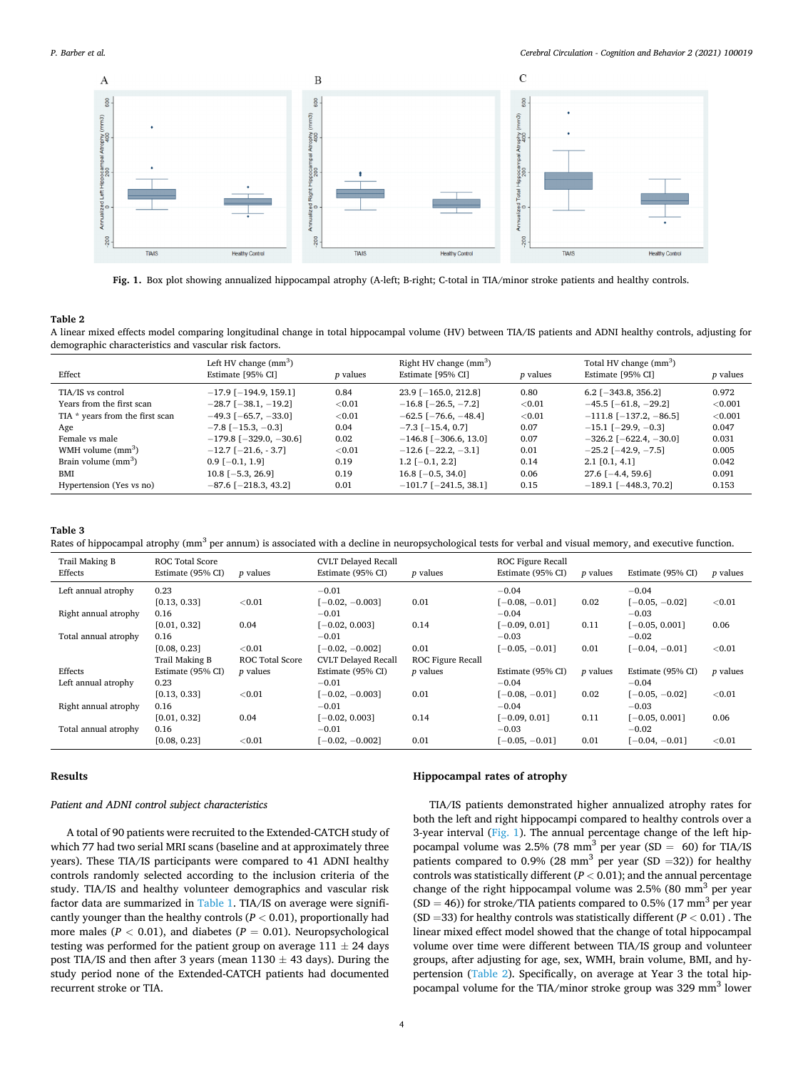<span id="page-3-0"></span>

**Fig. 1.** Box plot showing annualized hippocampal atrophy (A-left; B-right; C-total in TIA/minor stroke patients and healthy controls.

### **Table 2**

A linear mixed effects model comparing longitudinal change in total hippocampal volume (HV) between TIA/IS patients and ADNI healthy controls, adjusting for demographic characteristics and vascular risk factors.

| Effect                          | Left HV change $(mm3)$<br>Estimate [95% CI] | <i>p</i> values | Right HV change $(mm3)$<br>Estimate [95% CI] | <i>p</i> values | Total HV change (mm <sup>3</sup> )<br>Estimate [95% CI] | <i>p</i> values |
|---------------------------------|---------------------------------------------|-----------------|----------------------------------------------|-----------------|---------------------------------------------------------|-----------------|
| TIA/IS vs control               | $-17.9$ [ $-194.9$ , 159.1]                 | 0.84            | $23.9$ [-165.0, 212.8]                       | 0.80            | $6.2$ [-343.8, 356.2]                                   | 0.972           |
| Years from the first scan       | $-28.7$ [ $-38.1, -19.2$ ]                  | < 0.01          | $-16.8$ [ $-26.5, -7.2$ ]                    | $<$ 0.01        | $-45.5$ [ $-61.8$ , $-29.2$ ]                           | $<$ 0.001       |
| TIA * years from the first scan | $-49.3$ [ $-65.7, -33.0$ ]                  | < 0.01          | $-62.5$ [ $-76.6$ , $-48.4$ ]                | < 0.01          | $-111.8$ [ $-137.2$ , $-86.5$ ]                         | ${<}0.001$      |
| Age                             | $-7.8$ [ $-15.3$ , $-0.3$ ]                 | 0.04            | $-7.3$ [ $-15.4$ , 0.7]                      | 0.07            | $-15.1$ [ $-29.9$ , $-0.3$ ]                            | 0.047           |
| Female vs male                  | $-179.8$ [ $-329.0, -30.6$ ]                | 0.02            | $-146.8$ [ $-306.6$ , 13.0]                  | 0.07            | $-326.2$ [ $-622.4$ , $-30.0$ ]                         | 0.031           |
| WMH volume $\text{mm}^3$ )      | $-12.7$ [ $-21.6$ , $-3.7$ ]                | $<$ 0.01        | $-12.6$ [ $-22.2, -3.1$ ]                    | 0.01            | $-25.2$ [ $-42.9$ , $-7.5$ ]                            | 0.005           |
| Brain volume $\text{mm}^3$ )    | $0.9[-0.1, 1.9]$                            | 0.19            | $1.2$ [-0.1, 2.2]                            | 0.14            | $2.1$ [0.1, 4.1]                                        | 0.042           |
| <b>BMI</b>                      | $10.8$ [-5.3, 26.9]                         | 0.19            | $16.8$ [-0.5, 34.0]                          | 0.06            | $27.6$ [-4.4, 59.6]                                     | 0.091           |
| Hypertension (Yes vs no)        | $-87.6$ [ $-218.3$ , 43.2]                  | 0.01            | $-101.7$ [ $-241.5$ , 38.1]                  | 0.15            | $-189.1$ [ $-448.3$ , 70.2]                             | 0.153           |

# **Table 3**

Rates of hippocampal atrophy (mm<sup>3</sup> per annum) is associated with a decline in neuropsychological tests for verbal and visual memory, and executive function.

| Trail Making B<br>Effects | <b>ROC Total Score</b><br>Estimate (95% CI) | <i>p</i> values        | <b>CVLT Delayed Recall</b><br>Estimate (95% CI) | <i>p</i> values          | <b>ROC Figure Recall</b><br>Estimate (95% CI) | <i>p</i> values | Estimate (95% CI) | <i>p</i> values |
|---------------------------|---------------------------------------------|------------------------|-------------------------------------------------|--------------------------|-----------------------------------------------|-----------------|-------------------|-----------------|
| Left annual atrophy       | 0.23                                        |                        | $-0.01$                                         |                          | $-0.04$                                       |                 | $-0.04$           |                 |
|                           | [0.13, 0.33]                                | < 0.01                 | $[-0.02, -0.003]$                               | 0.01                     | $[-0.08, -0.01]$                              | 0.02            | $[-0.05, -0.02]$  | < 0.01          |
| Right annual atrophy      | 0.16                                        |                        | $-0.01$                                         |                          | $-0.04$                                       |                 | $-0.03$           |                 |
|                           | [0.01, 0.32]                                | 0.04                   | $[-0.02, 0.003]$                                | 0.14                     | $[-0.09, 0.01]$                               | 0.11            | $[-0.05, 0.001]$  | 0.06            |
| Total annual atrophy      | 0.16                                        |                        | $-0.01$                                         |                          | $-0.03$                                       |                 | $-0.02$           |                 |
|                           | [0.08, 0.23]                                | < 0.01                 | $[-0.02, -0.002]$                               | 0.01                     | $[-0.05, -0.01]$                              | 0.01            | $[-0.04, -0.01]$  | < 0.01          |
|                           | Trail Making B                              | <b>ROC Total Score</b> | <b>CVLT Delayed Recall</b>                      | <b>ROC Figure Recall</b> |                                               |                 |                   |                 |
| Effects                   | Estimate (95% CI)                           | <i>p</i> values        | Estimate (95% CI)                               | $p$ values               | Estimate (95% CI)                             | <i>p</i> values | Estimate (95% CI) | <i>p</i> values |
| Left annual atrophy       | 0.23                                        |                        | $-0.01$                                         |                          | $-0.04$                                       |                 | $-0.04$           |                 |
|                           | [0.13, 0.33]                                | < 0.01                 | $[-0.02, -0.003]$                               | 0.01                     | $[-0.08, -0.01]$                              | 0.02            | $[-0.05, -0.02]$  | < 0.01          |
| Right annual atrophy      | 0.16                                        |                        | $-0.01$                                         |                          | $-0.04$                                       |                 | $-0.03$           |                 |
|                           | [0.01, 0.32]                                | 0.04                   | $[-0.02, 0.003]$                                | 0.14                     | $[-0.09, 0.01]$                               | 0.11            | $[-0.05, 0.001]$  | 0.06            |
| Total annual atrophy      | 0.16                                        |                        | $-0.01$                                         |                          | $-0.03$                                       |                 | $-0.02$           |                 |
|                           | [0.08, 0.23]                                | < 0.01                 | $[-0.02, -0.002]$                               | 0.01                     | $[-0.05, -0.01]$                              | 0.01            | $[-0.04, -0.01]$  | < 0.01          |

#### **Results**

#### *Patient and ADNI control subject characteristics*

A total of 90 patients were recruited to the Extended-CATCH study of which 77 had two serial MRI scans (baseline and at approximately three years). These TIA/IS participants were compared to 41 ADNI healthy controls randomly selected according to the inclusion criteria of the study. TIA/IS and healthy volunteer demographics and vascular risk factor data are summarized in [Table 1](#page-2-0). TIA/IS on average were significantly younger than the healthy controls (*P <* 0.01), proportionally had more males ( $P < 0.01$ ), and diabetes ( $P = 0.01$ ). Neuropsychological testing was performed for the patient group on average  $111 \pm 24$  days post TIA/IS and then after 3 years (mean  $1130 \pm 43$  days). During the study period none of the Extended-CATCH patients had documented recurrent stroke or TIA.

# **Hippocampal rates of atrophy**

TIA/IS patients demonstrated higher annualized atrophy rates for both the left and right hippocampi compared to healthy controls over a 3-year interval (Fig. 1). The annual percentage change of the left hippocampal volume was 2.5% (78 mm<sup>3</sup> per year (SD = 60) for TIA/IS patients compared to 0.9% (28 mm<sup>3</sup> per year (SD =32)) for healthy controls was statistically different (*P <* 0.01); and the annual percentage change of the right hippocampal volume was  $2.5\%$  (80 mm<sup>3</sup> per year  $(SD = 46)$ ) for stroke/TIA patients compared to 0.5% (17 mm<sup>3</sup> per year (SD =33) for healthy controls was statistically different (*P <* 0.01) . The linear mixed effect model showed that the change of total hippocampal volume over time were different between TIA/IS group and volunteer groups, after adjusting for age, sex, WMH, brain volume, BMI, and hypertension (Table 2). Specifically, on average at Year 3 the total hippocampal volume for the TIA/minor stroke group was 329 mm<sup>3</sup> lower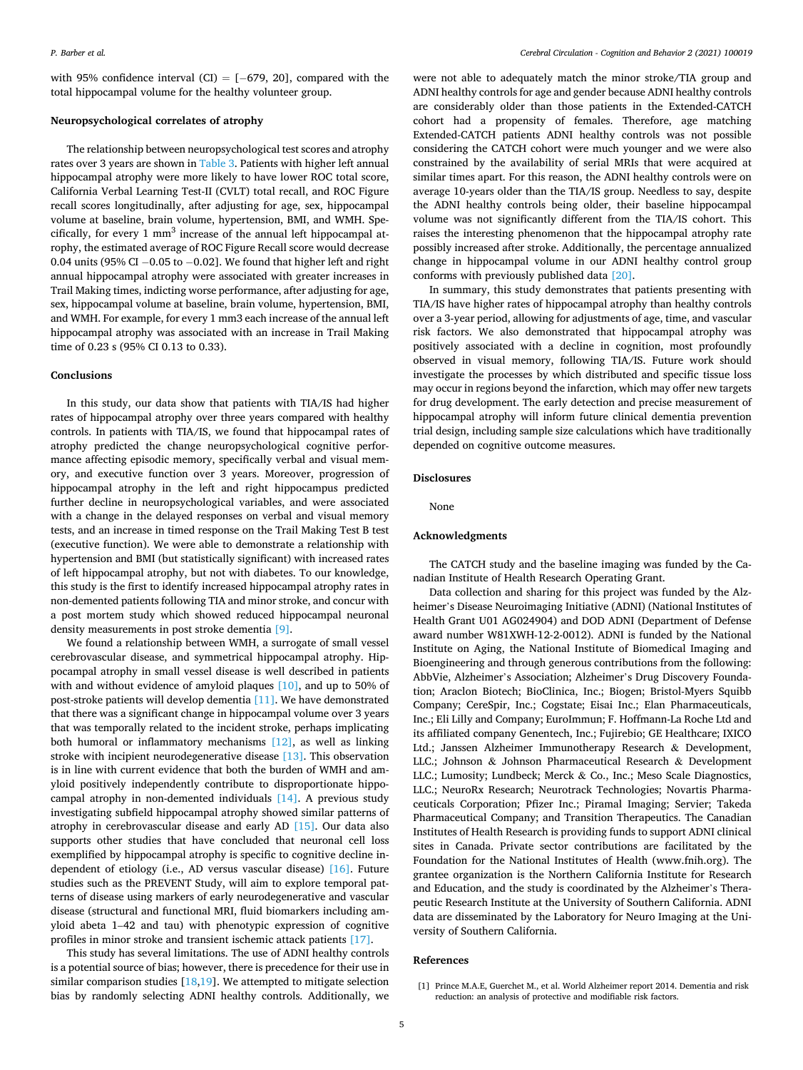<span id="page-4-0"></span>with 95% confidence interval (CI) =  $[-679, 20]$ , compared with the total hippocampal volume for the healthy volunteer group.

# **Neuropsychological correlates of atrophy**

The relationship between neuropsychological test scores and atrophy rates over 3 years are shown in [Table 3.](#page-3-0) Patients with higher left annual hippocampal atrophy were more likely to have lower ROC total score, California Verbal Learning Test-II (CVLT) total recall, and ROC Figure recall scores longitudinally, after adjusting for age, sex, hippocampal volume at baseline, brain volume, hypertension, BMI, and WMH. Specifically, for every  $1 \text{ mm}^3$  increase of the annual left hippocampal atrophy, the estimated average of ROC Figure Recall score would decrease 0.04 units (95% CI  $-0.05$  to  $-0.02$ ]. We found that higher left and right annual hippocampal atrophy were associated with greater increases in Trail Making times, indicting worse performance, after adjusting for age, sex, hippocampal volume at baseline, brain volume, hypertension, BMI, and WMH. For example, for every 1 mm3 each increase of the annual left hippocampal atrophy was associated with an increase in Trail Making time of 0.23 s (95% CI 0.13 to 0.33).

# **Conclusions**

In this study, our data show that patients with TIA/IS had higher rates of hippocampal atrophy over three years compared with healthy controls. In patients with TIA/IS, we found that hippocampal rates of atrophy predicted the change neuropsychological cognitive performance affecting episodic memory, specifically verbal and visual memory, and executive function over 3 years. Moreover, progression of hippocampal atrophy in the left and right hippocampus predicted further decline in neuropsychological variables, and were associated with a change in the delayed responses on verbal and visual memory tests, and an increase in timed response on the Trail Making Test B test (executive function). We were able to demonstrate a relationship with hypertension and BMI (but statistically significant) with increased rates of left hippocampal atrophy, but not with diabetes. To our knowledge, this study is the first to identify increased hippocampal atrophy rates in non-demented patients following TIA and minor stroke, and concur with a post mortem study which showed reduced hippocampal neuronal density measurements in post stroke dementia [\[9\]](#page-5-0).

We found a relationship between WMH, a surrogate of small vessel cerebrovascular disease, and symmetrical hippocampal atrophy. Hippocampal atrophy in small vessel disease is well described in patients with and without evidence of amyloid plaques [\[10\],](#page-5-0) and up to 50% of post-stroke patients will develop dementia [\[11\]](#page-5-0). We have demonstrated that there was a significant change in hippocampal volume over 3 years that was temporally related to the incident stroke, perhaps implicating both humoral or inflammatory mechanisms [\[12\],](#page-5-0) as well as linking stroke with incipient neurodegenerative disease [\[13\]](#page-5-0). This observation is in line with current evidence that both the burden of WMH and amyloid positively independently contribute to disproportionate hippocampal atrophy in non-demented individuals [\[14\].](#page-5-0) A previous study investigating subfield hippocampal atrophy showed similar patterns of atrophy in cerebrovascular disease and early AD [\[15\].](#page-5-0) Our data also supports other studies that have concluded that neuronal cell loss exemplified by hippocampal atrophy is specific to cognitive decline independent of etiology (i.e., AD versus vascular disease) [\[16\].](#page-5-0) Future studies such as the PREVENT Study, will aim to explore temporal patterns of disease using markers of early neurodegenerative and vascular disease (structural and functional MRI, fluid biomarkers including amyloid abeta 1–42 and tau) with phenotypic expression of cognitive profiles in minor stroke and transient ischemic attack patients [\[17\]](#page-5-0).

This study has several limitations. The use of ADNI healthy controls is a potential source of bias; however, there is precedence for their use in similar comparison studies  $[18,19]$  $[18,19]$  $[18,19]$ . We attempted to mitigate selection bias by randomly selecting ADNI healthy controls. Additionally, we

were not able to adequately match the minor stroke/TIA group and ADNI healthy controls for age and gender because ADNI healthy controls are considerably older than those patients in the Extended-CATCH cohort had a propensity of females. Therefore, age matching Extended-CATCH patients ADNI healthy controls was not possible considering the CATCH cohort were much younger and we were also constrained by the availability of serial MRIs that were acquired at similar times apart. For this reason, the ADNI healthy controls were on average 10-years older than the TIA/IS group. Needless to say, despite the ADNI healthy controls being older, their baseline hippocampal volume was not significantly different from the TIA/IS cohort. This raises the interesting phenomenon that the hippocampal atrophy rate possibly increased after stroke. Additionally, the percentage annualized change in hippocampal volume in our ADNI healthy control group conforms with previously published data [\[20\]](#page-5-0).

In summary, this study demonstrates that patients presenting with TIA/IS have higher rates of hippocampal atrophy than healthy controls over a 3-year period, allowing for adjustments of age, time, and vascular risk factors. We also demonstrated that hippocampal atrophy was positively associated with a decline in cognition, most profoundly observed in visual memory, following TIA/IS. Future work should investigate the processes by which distributed and specific tissue loss may occur in regions beyond the infarction, which may offer new targets for drug development. The early detection and precise measurement of hippocampal atrophy will inform future clinical dementia prevention trial design, including sample size calculations which have traditionally depended on cognitive outcome measures.

# **Disclosures**

None

# **Acknowledgments**

The CATCH study and the baseline imaging was funded by the Canadian Institute of Health Research Operating Grant.

Data collection and sharing for this project was funded by the Alzheimer's Disease Neuroimaging Initiative (ADNI) (National Institutes of Health Grant U01 AG024904) and DOD ADNI (Department of Defense award number W81XWH-12-2-0012). ADNI is funded by the National Institute on Aging, the National Institute of Biomedical Imaging and Bioengineering and through generous contributions from the following: AbbVie, Alzheimer's Association; Alzheimer's Drug Discovery Foundation; Araclon Biotech; BioClinica, Inc.; Biogen; Bristol-Myers Squibb Company; CereSpir, Inc.; Cogstate; Eisai Inc.; Elan Pharmaceuticals, Inc.; Eli Lilly and Company; EuroImmun; F. Hoffmann-La Roche Ltd and its affiliated company Genentech, Inc.; Fujirebio; GE Healthcare; IXICO Ltd.; Janssen Alzheimer Immunotherapy Research & Development, LLC.; Johnson & Johnson Pharmaceutical Research & Development LLC.; Lumosity; Lundbeck; Merck & Co., Inc.; Meso Scale Diagnostics, LLC.; NeuroRx Research; Neurotrack Technologies; Novartis Pharmaceuticals Corporation; Pfizer Inc.; Piramal Imaging; Servier; Takeda Pharmaceutical Company; and Transition Therapeutics. The Canadian Institutes of Health Research is providing funds to support ADNI clinical sites in Canada. Private sector contributions are facilitated by the Foundation for the National Institutes of Health (www.fnih.org). The grantee organization is the Northern California Institute for Research and Education, and the study is coordinated by the Alzheimer's Therapeutic Research Institute at the University of Southern California. ADNI data are disseminated by the Laboratory for Neuro Imaging at the University of Southern California.

# **References**

<sup>[1]</sup> Prince M.A.E, Guerchet M., et al. World Alzheimer report 2014. Dementia and risk reduction: an analysis of protective and modifiable risk factors.